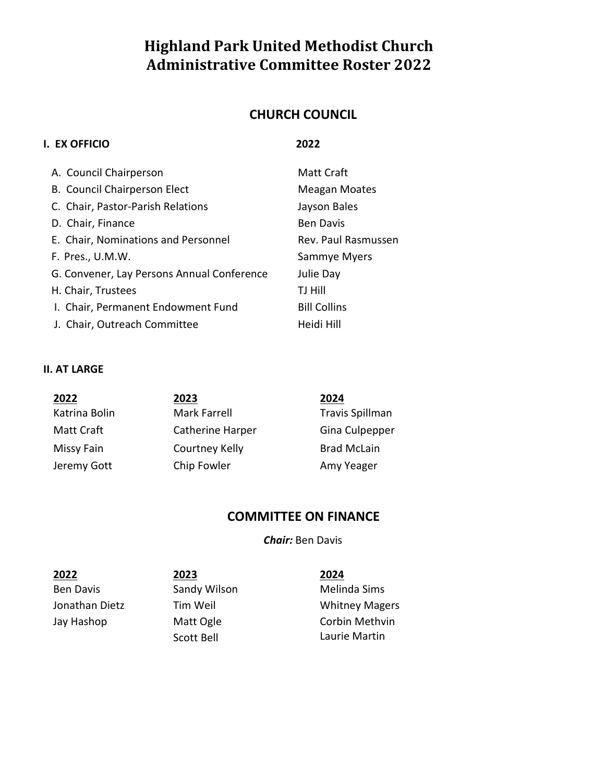# **Highland Park United Methodist Church Administrative Committee Roster 2022**

# **CHURCH COUNCIL**

### **I. EX OFFICIO 2022**

| A. Council Chairperson                     | <b>Matt Craft</b>   |
|--------------------------------------------|---------------------|
| B. Council Chairperson Elect               | Meagan Moates       |
| C. Chair, Pastor-Parish Relations          | Jayson Bales        |
| D. Chair, Finance                          | <b>Ben Davis</b>    |
| E. Chair, Nominations and Personnel        | Rev. Paul Rasmussen |
| F. Pres., U.M.W.                           | Sammye Myers        |
| G. Convener, Lay Persons Annual Conference | Julie Day           |
| H. Chair, Trustees                         | TJ Hill             |
| I. Chair, Permanent Endowment Fund         | <b>Bill Collins</b> |
| J. Chair, Outreach Committee               | Heidi Hill          |

### **II. AT LARGE**

| 2022          | 2023             | 2024               |
|---------------|------------------|--------------------|
| Katrina Bolin | Mark Farrell     | Travis Spillman    |
| Matt Craft    | Catherine Harper | Gina Culpepper     |
| Missy Fain    | Courtney Kelly   | <b>Brad McLain</b> |
| Jeremy Gott   | Chip Fowler      | Amy Yeager         |

# **COMMITTEE ON FINANCE**

*Chair:* Ben Davis

Ben Davis **Sandy Wilson** Melinda Sims Jay Hashop Matt Ogle

**2022 2023 2024** Scott Bell

Jonathan Dietz Tim Weil Whitney Magers Corbin Methvin Laurie Martin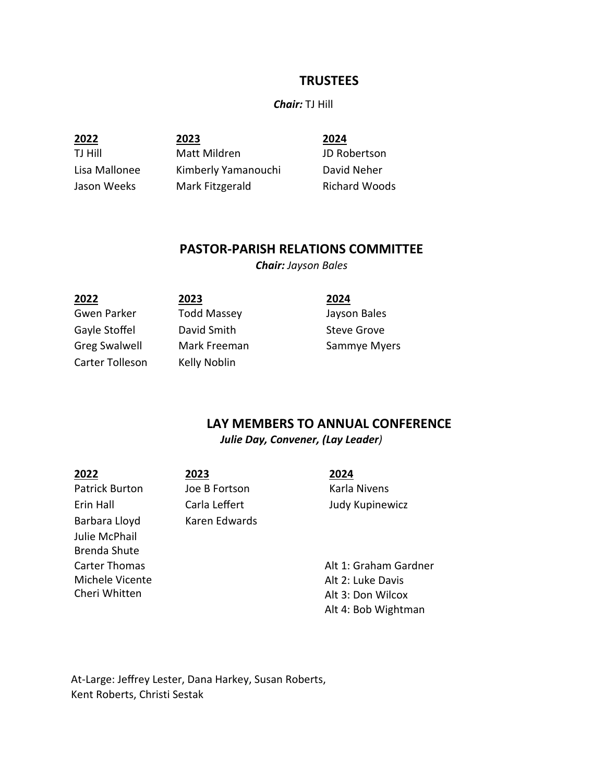### **TRUSTEES**

#### *Chair:* TJ Hill

**2022 2023 2024**

TJ Hill Matt Mildren JD Robertson Lisa Mallonee Kimberly Yamanouchi David Neher Jason Weeks Mark Fitzgerald Richard Woods

## **PASTOR-PARISH RELATIONS COMMITTEE**

*Chair: Jayson Bales*

| 2022                 | 2023               | 2024         |
|----------------------|--------------------|--------------|
| Gwen Parker          | <b>Todd Massey</b> | Jayson Bales |
| Gayle Stoffel        | David Smith        | Steve Grove  |
| <b>Greg Swalwell</b> | Mark Freeman       | Sammye Myers |
| Carter Tolleson      | Kelly Noblin       |              |
|                      |                    |              |

# **LAY MEMBERS TO ANNUAL CONFERENCE**

*Julie Day, Convener, (Lay Leader)* 

**2022 2023 2024** Patrick Burton Joe B Fortson Karla Nivens Barbara Lloyd Karen Edwards Julie McPhail Brenda Shute Carter Thomas Michele Vicente Cheri Whitten

Erin Hall Carla Leffert Judy Kupinewicz

Alt 1: Graham Gardner Alt 2: Luke Davis Alt 3: Don Wilcox Alt 4: Bob Wightman

At-Large: Jeffrey Lester, Dana Harkey, Susan Roberts, Kent Roberts, Christi Sestak